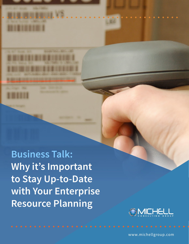**Business Talk: Why it's Important to Stay Up-to-Date with Your Enterprise Resource Planning**



www.michellgroup.com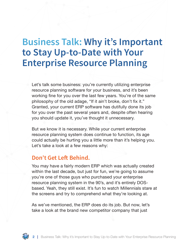# **Business Talk: Why it's Important to Stay Up-to-Date with Your Enterprise Resource Planning**

Let's talk some business: you're currently utilizing enterprise resource planning software for your business, and it's been working fine for you over the last few years. You're of the same philosophy of the old adage, "If it ain't broke, don't fix it." Granted, your current ERP software has dutifully done its job for you over the past several years and, despite often hearing you should update it, you've thought it unnecessary.

But we know it is necessary. While your current enterprise resource planning system does continue to function, its age could actually be hurting you a little more than it's helping you. Let's take a look at a few reasons why:

### **Don't Get Left Behind.**

You may have a fairly modern ERP which was actually created within the last decade, but just for fun, we're going to assume you're one of those guys who purchased your enterprise resource planning system in the 90's, and it's entirely DOSbased. Yeah, they still exist. It's fun to watch Millennials stare at the screens and try to comprehend what they're looking at.

As we've mentioned, the ERP does do its job. But now, let's take a look at the brand new competitor company that just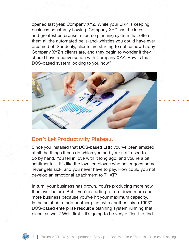opened last year, Company XYZ. While your ERP is keeping business constantly flowing, Company XYZ has the latest and greatest enterprise resource planning system that offers them all the automated bells-and-whistles you could have ever dreamed of. Suddenly, clients are starting to notice how happy Company XYZ's clients are, and they begin to wonder if they should have a conversation with Company XYZ. How is that DOS-based system looking to you now?



## **Don't Let Productivity Plateau.**

Since you installed that DOS-based ERP, you've been amazed at all the things it can do which you and your staff used to do by hand. You fell in love with it long ago, and you're a bit sentimental – it's like the loyal employee who never goes home, never gets sick, and you never have to pay. How could you not develop an emotional attachment to THAT?

In turn, your business has grown. You're producing more now than ever before. But – you're starting to turn down more and more business because you've hit your maximum capacity. Is the solution to add another plant with another "circa 1993" DOS-based enterprise resource planning system running that place, as well? Well, first – it's going to be very difficult to find

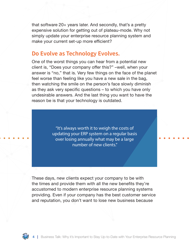that software 20+ years later. And secondly, that's a pretty expensive solution for getting out of plateau-mode. Why not simply update your enterprise resource planning system and make your current set-up more efficient?

### **Do Evolve as Technology Evolves.**

One of the worst things you can hear from a potential new client is, "Does your company offer this?" –well, when your answer is "no," that is. Very few things on the face of the planet feel worse than feeling like you have a new sale in the bag, then watching the smile on the person's face slowly diminish as they ask very specific questions – to which you have only undesirable answers. And the last thing you want to have the reason be is that your technology is outdated.

> "It's always worth it to weigh the costs of updating your ERP system on a regular basis over losing annually what may be a large number of new clients."

These days, new clients expect your company to be with the times and provide them with all the new benefits they're accustomed to modern enterprise resource planning systems providing. Even if your company has the best customer service and reputation, you don't want to lose new business because

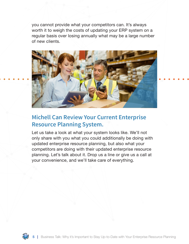you cannot provide what your competitors can. It's always worth it to weigh the costs of updating your ERP system on a regular basis over losing annually what may be a large number of new clients.



## **Michell Can Review Your Current Enterprise Resource Planning System.**

Let us take a look at what your system looks like. We'll not only share with you what you could additionally be doing with updated enterprise resource planning, but also what your competitors are doing with their updated enterprise resource planning. Let's talk about it. Drop us a line or give us a call at your convenience, and we'll take care of everything.